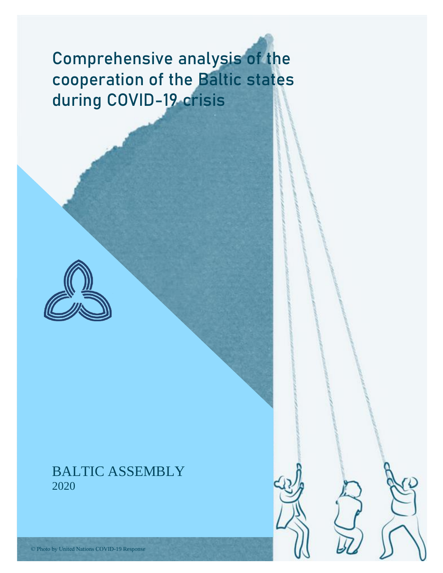# Comprehensive analysis of the cooperation of the Baltic states during COVID-19 crisis



## BALTIC ASSEMBLY 2020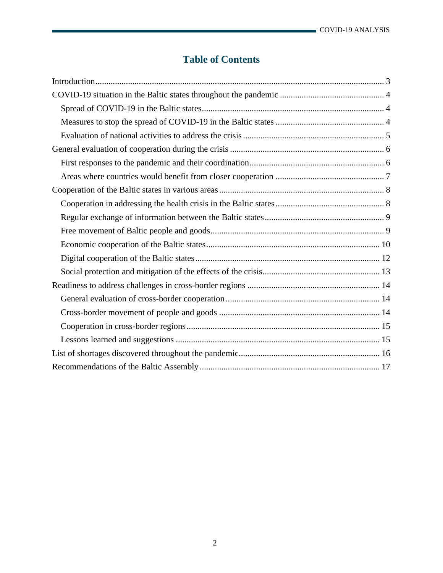## **Table of Contents**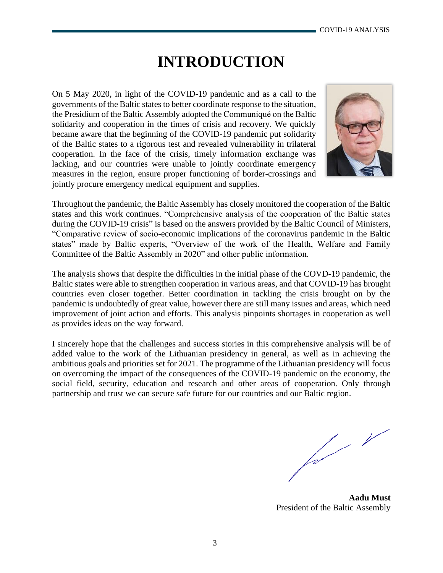## **INTRODUCTION**

<span id="page-2-0"></span>On 5 May 2020, in light of the COVID-19 pandemic and as a call to the governments of the Baltic states to better coordinate response to the situation, the Presidium of the Baltic Assembly adopted the Communiqué on the Baltic solidarity and cooperation in the times of crisis and recovery. We quickly became aware that the beginning of the COVID-19 pandemic put solidarity of the Baltic states to a rigorous test and revealed vulnerability in trilateral cooperation. In the face of the crisis, timely information exchange was lacking, and our countries were unable to jointly coordinate emergency measures in the region, ensure proper functioning of border-crossings and jointly procure emergency medical equipment and supplies.



Throughout the pandemic, the Baltic Assembly has closely monitored the cooperation of the Baltic states and this work continues. "Comprehensive analysis of the cooperation of the Baltic states during the COVID-19 crisis" is based on the answers provided by the Baltic Council of Ministers, "Comparative review of socio-economic implications of the coronavirus pandemic in the Baltic states" made by Baltic experts, "Overview of the work of the Health, Welfare and Family Committee of the Baltic Assembly in 2020" and other public information.

The analysis shows that despite the difficulties in the initial phase of the COVD-19 pandemic, the Baltic states were able to strengthen cooperation in various areas, and that COVID-19 has brought countries even closer together. Better coordination in tackling the crisis brought on by the pandemic is undoubtedly of great value, however there are still many issues and areas, which need improvement of joint action and efforts. This analysis pinpoints shortages in cooperation as well as provides ideas on the way forward.

I sincerely hope that the challenges and success stories in this comprehensive analysis will be of added value to the work of the Lithuanian presidency in general, as well as in achieving the ambitious goals and priorities set for 2021. The programme of the Lithuanian presidency will focus on overcoming the impact of the consequences of the COVID-19 pandemic on the economy, the social field, security, education and research and other areas of cooperation. Only through partnership and trust we can secure safe future for our countries and our Baltic region.

fal

**Aadu Must** President of the Baltic Assembly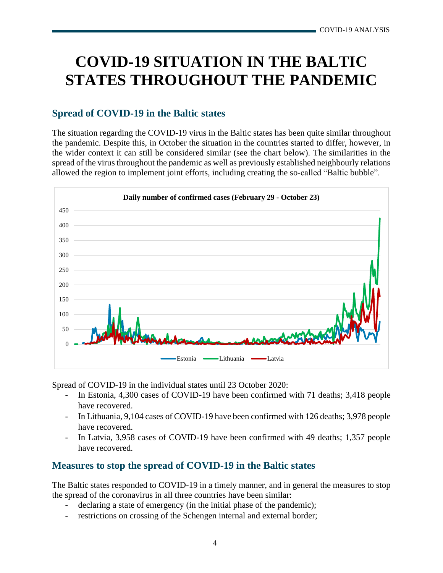## <span id="page-3-0"></span>**COVID-19 SITUATION IN THE BALTIC STATES THROUGHOUT THE PANDEMIC**

## <span id="page-3-1"></span>**Spread of COVID-19 in the Baltic states**

The situation regarding the COVID-19 virus in the Baltic states has been quite similar throughout the pandemic. Despite this, in October the situation in the countries started to differ, however, in the wider context it can still be considered similar (see the chart below). The similarities in the spread of the virus throughout the pandemic as well as previously established neighbourly relations allowed the region to implement joint efforts, including creating the so-called "Baltic bubble".



Spread of COVID-19 in the individual states until 23 October 2020:

- In Estonia, 4,300 cases of COVID-19 have been confirmed with 71 deaths; 3,418 people have recovered.
- In Lithuania, 9,104 cases of COVID-19 have been confirmed with 126 deaths; 3,978 people have recovered.
- In Latvia, 3,958 cases of COVID-19 have been confirmed with 49 deaths; 1,357 people have recovered.

## <span id="page-3-2"></span>**Measures to stop the spread of COVID-19 in the Baltic states**

The Baltic states responded to COVID-19 in a timely manner, and in general the measures to stop the spread of the coronavirus in all three countries have been similar:

- declaring a state of emergency (in the initial phase of the pandemic);
- restrictions on crossing of the Schengen internal and external border;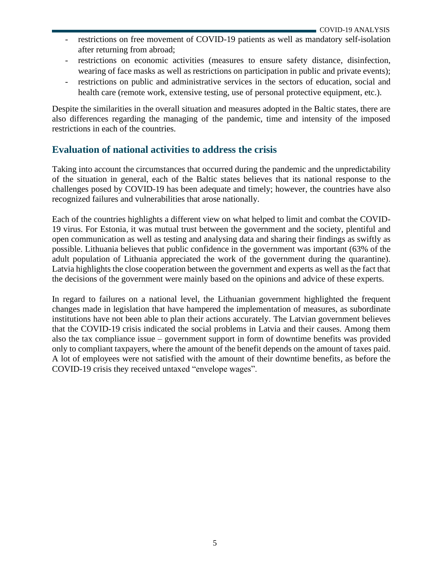- restrictions on free movement of COVID-19 patients as well as mandatory self-isolation after returning from abroad;
- restrictions on economic activities (measures to ensure safety distance, disinfection, wearing of face masks as well as restrictions on participation in public and private events);
- restrictions on public and administrative services in the sectors of education, social and health care (remote work, extensive testing, use of personal protective equipment, etc.).

Despite the similarities in the overall situation and measures adopted in the Baltic states, there are also differences regarding the managing of the pandemic, time and intensity of the imposed restrictions in each of the countries.

## <span id="page-4-0"></span>**Evaluation of national activities to address the crisis**

Taking into account the circumstances that occurred during the pandemic and the unpredictability of the situation in general, each of the Baltic states believes that its national response to the challenges posed by COVID-19 has been adequate and timely; however, the countries have also recognized failures and vulnerabilities that arose nationally.

Each of the countries highlights a different view on what helped to limit and combat the COVID-19 virus. For Estonia, it was mutual trust between the government and the society, plentiful and open communication as well as testing and analysing data and sharing their findings as swiftly as possible. Lithuania believes that public confidence in the government was important (63% of the adult population of Lithuania appreciated the work of the government during the quarantine). Latvia highlights the close cooperation between the government and experts as well as the fact that the decisions of the government were mainly based on the opinions and advice of these experts.

In regard to failures on a national level, the Lithuanian government highlighted the frequent changes made in legislation that have hampered the implementation of measures, as subordinate institutions have not been able to plan their actions accurately. The Latvian government believes that the COVID-19 crisis indicated the social problems in Latvia and their causes. Among them also the tax compliance issue – government support in form of downtime benefits was provided only to compliant taxpayers, where the amount of the benefit depends on the amount of taxes paid. A lot of employees were not satisfied with the amount of their downtime benefits, as before the COVID-19 crisis they received untaxed "envelope wages".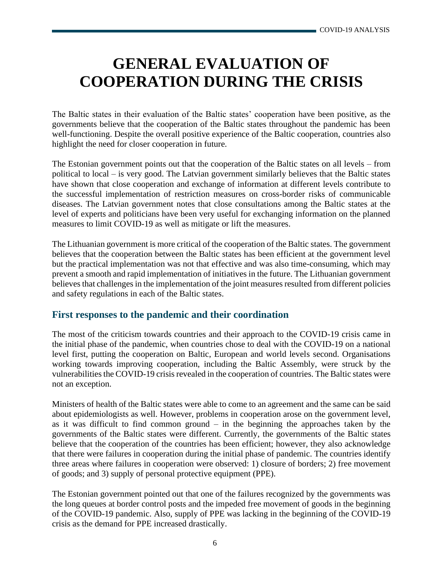## <span id="page-5-0"></span>**GENERAL EVALUATION OF COOPERATION DURING THE CRISIS**

The Baltic states in their evaluation of the Baltic states' cooperation have been positive, as the governments believe that the cooperation of the Baltic states throughout the pandemic has been well-functioning. Despite the overall positive experience of the Baltic cooperation, countries also highlight the need for closer cooperation in future.

The Estonian government points out that the cooperation of the Baltic states on all levels – from political to local – is very good. The Latvian government similarly believes that the Baltic states have shown that close cooperation and exchange of information at different levels contribute to the successful implementation of restriction measures on cross-border risks of communicable diseases. The Latvian government notes that close consultations among the Baltic states at the level of experts and politicians have been very useful for exchanging information on the planned measures to limit COVID-19 as well as mitigate or lift the measures.

The Lithuanian government is more critical of the cooperation of the Baltic states. The government believes that the cooperation between the Baltic states has been efficient at the government level but the practical implementation was not that effective and was also time-consuming, which may prevent a smooth and rapid implementation of initiatives in the future. The Lithuanian government believes that challenges in the implementation of the joint measures resulted from different policies and safety regulations in each of the Baltic states.

### <span id="page-5-1"></span>**First responses to the pandemic and their coordination**

The most of the criticism towards countries and their approach to the COVID-19 crisis came in the initial phase of the pandemic, when countries chose to deal with the COVID-19 on a national level first, putting the cooperation on Baltic, European and world levels second. Organisations working towards improving cooperation, including the Baltic Assembly, were struck by the vulnerabilities the COVID-19 crisis revealed in the cooperation of countries. The Baltic states were not an exception.

Ministers of health of the Baltic states were able to come to an agreement and the same can be said about epidemiologists as well. However, problems in cooperation arose on the government level, as it was difficult to find common ground – in the beginning the approaches taken by the governments of the Baltic states were different. Currently, the governments of the Baltic states believe that the cooperation of the countries has been efficient; however, they also acknowledge that there were failures in cooperation during the initial phase of pandemic. The countries identify three areas where failures in cooperation were observed: 1) closure of borders; 2) free movement of goods; and 3) supply of personal protective equipment (PPE).

The Estonian government pointed out that one of the failures recognized by the governments was the long queues at border control posts and the impeded free movement of goods in the beginning of the COVID-19 pandemic. Also, supply of PPE was lacking in the beginning of the COVID-19 crisis as the demand for PPE increased drastically.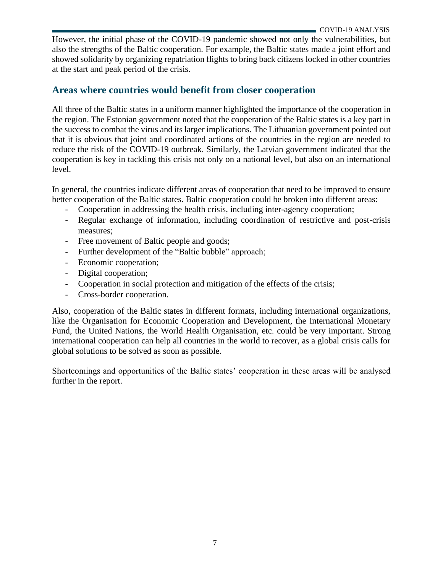However, the initial phase of the COVID-19 pandemic showed not only the vulnerabilities, but also the strengths of the Baltic cooperation. For example, the Baltic states made a joint effort and showed solidarity by organizing repatriation flights to bring back citizens locked in other countries at the start and peak period of the crisis.

## <span id="page-6-0"></span>**Areas where countries would benefit from closer cooperation**

All three of the Baltic states in a uniform manner highlighted the importance of the cooperation in the region. The Estonian government noted that the cooperation of the Baltic states is a key part in the success to combat the virus and its larger implications. The Lithuanian government pointed out that it is obvious that joint and coordinated actions of the countries in the region are needed to reduce the risk of the COVID-19 outbreak. Similarly, the Latvian government indicated that the cooperation is key in tackling this crisis not only on a national level, but also on an international level.

In general, the countries indicate different areas of cooperation that need to be improved to ensure better cooperation of the Baltic states. Baltic cooperation could be broken into different areas:

- Cooperation in addressing the health crisis, including inter-agency cooperation;
- Regular exchange of information, including coordination of restrictive and post-crisis measures;
- Free movement of Baltic people and goods;
- Further development of the "Baltic bubble" approach;
- Economic cooperation;
- Digital cooperation;
- Cooperation in social protection and mitigation of the effects of the crisis;
- Cross-border cooperation.

Also, cooperation of the Baltic states in different formats, including international organizations, like the Organisation for Economic Cooperation and Development, the International Monetary Fund, the United Nations, the World Health Organisation, etc. could be very important. Strong international cooperation can help all countries in the world to recover, as a global crisis calls for global solutions to be solved as soon as possible.

Shortcomings and opportunities of the Baltic states' cooperation in these areas will be analysed further in the report.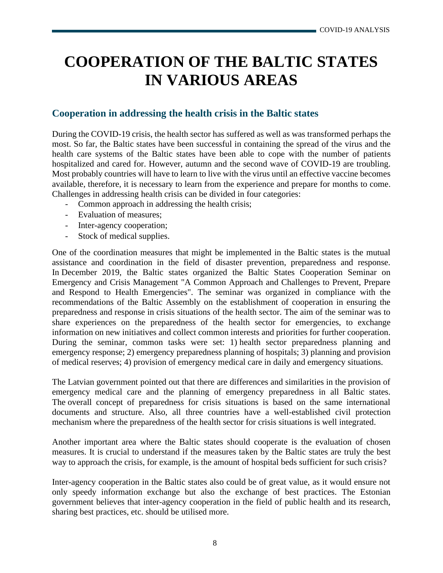## <span id="page-7-0"></span>**COOPERATION OF THE BALTIC STATES IN VARIOUS AREAS**

## <span id="page-7-1"></span>**Cooperation in addressing the health crisis in the Baltic states**

During the COVID-19 crisis, the health sector has suffered as well as was transformed perhaps the most. So far, the Baltic states have been successful in containing the spread of the virus and the health care systems of the Baltic states have been able to cope with the number of patients hospitalized and cared for. However, autumn and the second wave of COVID-19 are troubling. Most probably countries will have to learn to live with the virus until an effective vaccine becomes available, therefore, it is necessary to learn from the experience and prepare for months to come. Challenges in addressing health crisis can be divided in four categories:

- Common approach in addressing the health crisis;
- Evaluation of measures;
- Inter-agency cooperation;
- Stock of medical supplies.

One of the coordination measures that might be implemented in the Baltic states is the mutual assistance and coordination in the field of disaster prevention, preparedness and response. In December 2019, the Baltic states organized the Baltic States Cooperation Seminar on Emergency and Crisis Management "A Common Approach and Challenges to Prevent, Prepare and Respond to Health Emergencies". The seminar was organized in compliance with the recommendations of the Baltic Assembly on the establishment of cooperation in ensuring the preparedness and response in crisis situations of the health sector. The aim of the seminar was to share experiences on the preparedness of the health sector for emergencies, to exchange information on new initiatives and collect common interests and priorities for further cooperation. During the seminar, common tasks were set: 1) health sector preparedness planning and emergency response; 2) emergency preparedness planning of hospitals; 3) planning and provision of medical reserves; 4) provision of emergency medical care in daily and emergency situations.

The Latvian government pointed out that there are differences and similarities in the provision of emergency medical care and the planning of emergency preparedness in all Baltic states. The overall concept of preparedness for crisis situations is based on the same international documents and structure. Also, all three countries have a well-established civil protection mechanism where the preparedness of the health sector for crisis situations is well integrated.

Another important area where the Baltic states should cooperate is the evaluation of chosen measures. It is crucial to understand if the measures taken by the Baltic states are truly the best way to approach the crisis, for example, is the amount of hospital beds sufficient for such crisis?

Inter-agency cooperation in the Baltic states also could be of great value, as it would ensure not only speedy information exchange but also the exchange of best practices. The Estonian government believes that inter-agency cooperation in the field of public health and its research, sharing best practices, etc. should be utilised more.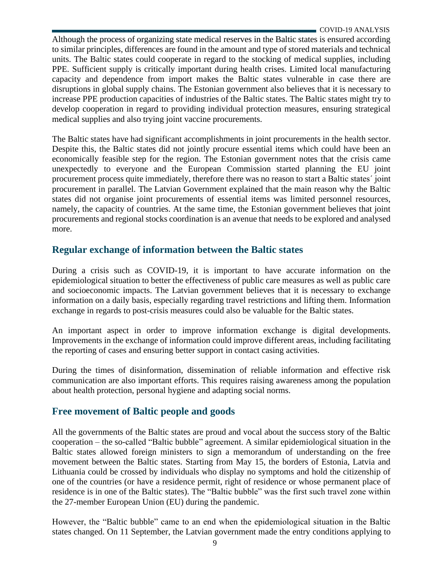Although the process of organizing state medical reserves in the Baltic states is ensured according to similar principles, differences are found in the amount and type of stored materials and technical units. The Baltic states could cooperate in regard to the stocking of medical supplies, including PPE. Sufficient supply is critically important during health crises. Limited local manufacturing capacity and dependence from import makes the Baltic states vulnerable in case there are disruptions in global supply chains. The Estonian government also believes that it is necessary to increase PPE production capacities of industries of the Baltic states. The Baltic states might try to develop cooperation in regard to providing individual protection measures, ensuring strategical medical supplies and also trying joint vaccine procurements.

The Baltic states have had significant accomplishments in joint procurements in the health sector. Despite this, the Baltic states did not jointly procure essential items which could have been an economically feasible step for the region. The Estonian government notes that the crisis came unexpectedly to everyone and the European Commission started planning the EU joint procurement process quite immediately, therefore there was no reason to start a Baltic states´ joint procurement in parallel. The Latvian Government explained that the main reason why the Baltic states did not organise joint procurements of essential items was limited personnel resources, namely, the capacity of countries. At the same time, the Estonian government believes that joint procurements and regional stocks coordination is an avenue that needs to be explored and analysed more.

## <span id="page-8-0"></span>**Regular exchange of information between the Baltic states**

During a crisis such as COVID-19, it is important to have accurate information on the epidemiological situation to better the effectiveness of public care measures as well as public care and socioeconomic impacts. The Latvian government believes that it is necessary to exchange information on a daily basis, especially regarding travel restrictions and lifting them. Information exchange in regards to post-crisis measures could also be valuable for the Baltic states.

An important aspect in order to improve information exchange is digital developments. Improvements in the exchange of information could improve different areas, including facilitating the reporting of cases and ensuring better support in contact casing activities.

During the times of disinformation, dissemination of reliable information and effective risk communication are also important efforts. This requires raising awareness among the population about health protection, personal hygiene and adapting social norms.

## <span id="page-8-1"></span>**Free movement of Baltic people and goods**

All the governments of the Baltic states are proud and vocal about the success story of the Baltic cooperation – the so-called "Baltic bubble" agreement. A similar epidemiological situation in the Baltic states allowed foreign ministers to sign a memorandum of understanding on the free movement between the Baltic states. Starting from May 15, the borders of Estonia, Latvia and Lithuania could be crossed by individuals who display no symptoms and hold the citizenship of one of the countries (or have a residence permit, right of residence or whose permanent place of residence is in one of the Baltic states). The "Baltic bubble" was the first such travel zone within the 27-member European Union (EU) during the pandemic.

However, the "Baltic bubble" came to an end when the epidemiological situation in the Baltic states changed. On 11 September, the Latvian government made the entry conditions applying to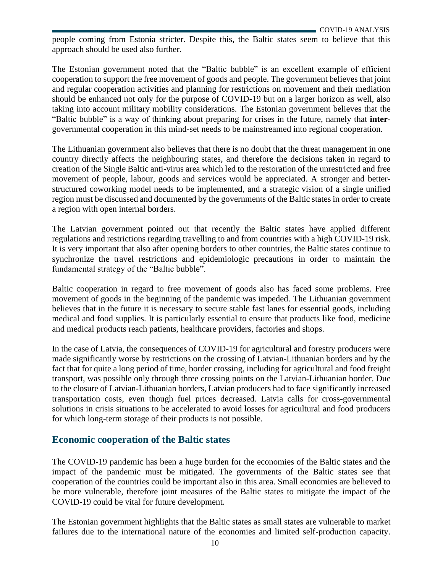people coming from Estonia stricter. Despite this, the Baltic states seem to believe that this approach should be used also further.

The Estonian government noted that the "Baltic bubble" is an excellent example of efficient cooperation to support the free movement of goods and people. The government believes that joint and regular cooperation activities and planning for restrictions on movement and their mediation should be enhanced not only for the purpose of COVID-19 but on a larger horizon as well, also taking into account military mobility considerations. The Estonian government believes that the "Baltic bubble" is a way of thinking about preparing for crises in the future, namely that **inter**governmental cooperation in this mind-set needs to be mainstreamed into regional cooperation.

The Lithuanian government also believes that there is no doubt that the threat management in one country directly affects the neighbouring states, and therefore the decisions taken in regard to creation of the Single Baltic anti-virus area which led to the restoration of the unrestricted and free movement of people, labour, goods and services would be appreciated. A stronger and betterstructured coworking model needs to be implemented, and a strategic vision of a single unified region must be discussed and documented by the governments of the Baltic states in order to create a region with open internal borders.

The Latvian government pointed out that recently the Baltic states have applied different regulations and restrictions regarding travelling to and from countries with a high COVID-19 risk. It is very important that also after opening borders to other countries, the Baltic states continue to synchronize the travel restrictions and epidemiologic precautions in order to maintain the fundamental strategy of the "Baltic bubble".

Baltic cooperation in regard to free movement of goods also has faced some problems. Free movement of goods in the beginning of the pandemic was impeded. The Lithuanian government believes that in the future it is necessary to secure stable fast lanes for essential goods, including medical and food supplies. It is particularly essential to ensure that products like food, medicine and medical products reach patients, healthcare providers, factories and shops.

In the case of Latvia, the consequences of COVID-19 for agricultural and forestry producers were made significantly worse by restrictions on the crossing of Latvian-Lithuanian borders and by the fact that for quite a long period of time, border crossing, including for agricultural and food freight transport, was possible only through three crossing points on the Latvian-Lithuanian border. Due to the closure of Latvian-Lithuanian borders, Latvian producers had to face significantly increased transportation costs, even though fuel prices decreased. Latvia calls for cross-governmental solutions in crisis situations to be accelerated to avoid losses for agricultural and food producers for which long-term storage of their products is not possible.

### <span id="page-9-0"></span>**Economic cooperation of the Baltic states**

The COVID-19 pandemic has been a huge burden for the economies of the Baltic states and the impact of the pandemic must be mitigated. The governments of the Baltic states see that cooperation of the countries could be important also in this area. Small economies are believed to be more vulnerable, therefore joint measures of the Baltic states to mitigate the impact of the COVID-19 could be vital for future development.

The Estonian government highlights that the Baltic states as small states are vulnerable to market failures due to the international nature of the economies and limited self-production capacity.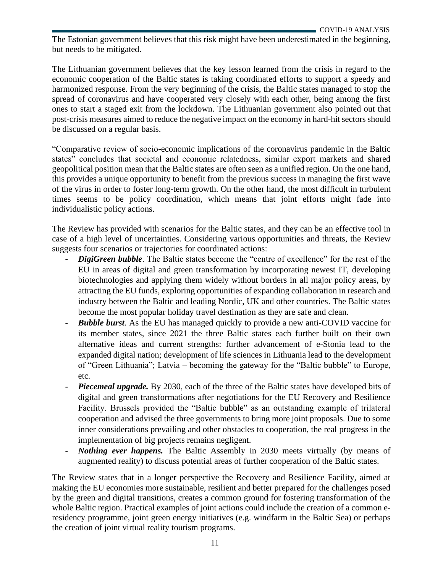The Estonian government believes that this risk might have been underestimated in the beginning, but needs to be mitigated.

The Lithuanian government believes that the key lesson learned from the crisis in regard to the economic cooperation of the Baltic states is taking coordinated efforts to support a speedy and harmonized response. From the very beginning of the crisis, the Baltic states managed to stop the spread of coronavirus and have cooperated very closely with each other, being among the first ones to start a staged exit from the lockdown. The Lithuanian government also pointed out that post-crisis measures aimed to reduce the negative impact on the economy in hard-hit sectors should be discussed on a regular basis.

"Comparative review of socio-economic implications of the coronavirus pandemic in the Baltic states" concludes that societal and economic relatedness, similar export markets and shared geopolitical position mean that the Baltic states are often seen as a unified region. On the one hand, this provides a unique opportunity to benefit from the previous success in managing the first wave of the virus in order to foster long-term growth. On the other hand, the most difficult in turbulent times seems to be policy coordination, which means that joint efforts might fade into individualistic policy actions.

The Review has provided with scenarios for the Baltic states, and they can be an effective tool in case of a high level of uncertainties. Considering various opportunities and threats, the Review suggests four scenarios or trajectories for coordinated actions:

- **DigiGreen bubble**. The Baltic states become the "centre of excellence" for the rest of the EU in areas of digital and green transformation by incorporating newest IT, developing biotechnologies and applying them widely without borders in all major policy areas, by attracting the EU funds, exploring opportunities of expanding collaboration in research and industry between the Baltic and leading Nordic, UK and other countries. The Baltic states become the most popular holiday travel destination as they are safe and clean.
- *Bubble burst*. As the EU has managed quickly to provide a new anti-COVID vaccine for its member states, since 2021 the three Baltic states each further built on their own alternative ideas and current strengths: further advancement of e-Stonia lead to the expanded digital nation; development of life sciences in Lithuania lead to the development of "Green Lithuania"; Latvia – becoming the gateway for the "Baltic bubble" to Europe, etc.
- *Piecemeal upgrade.* By 2030, each of the three of the Baltic states have developed bits of digital and green transformations after negotiations for the EU Recovery and Resilience Facility. Brussels provided the "Baltic bubble" as an outstanding example of trilateral cooperation and advised the three governments to bring more joint proposals. Due to some inner considerations prevailing and other obstacles to cooperation, the real progress in the implementation of big projects remains negligent.
- *Nothing ever happens.* The Baltic Assembly in 2030 meets virtually (by means of augmented reality) to discuss potential areas of further cooperation of the Baltic states.

The Review states that in a longer perspective the Recovery and Resilience Facility, aimed at making the EU economies more sustainable, resilient and better prepared for the challenges posed by the green and digital transitions, creates a common ground for fostering transformation of the whole Baltic region. Practical examples of joint actions could include the creation of a common eresidency programme, joint green energy initiatives (e.g. windfarm in the Baltic Sea) or perhaps the creation of joint virtual reality tourism programs.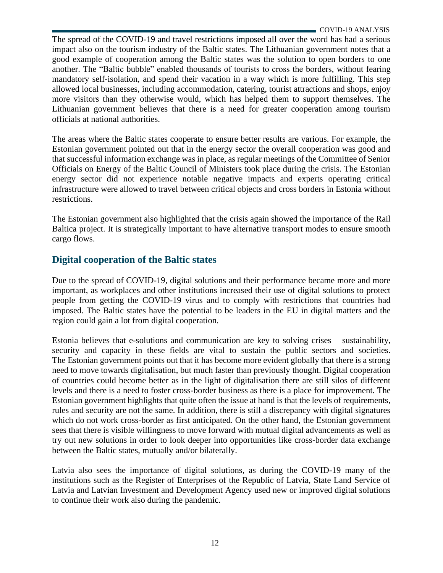The spread of the COVID-19 and travel restrictions imposed all over the word has had a serious impact also on the tourism industry of the Baltic states. The Lithuanian government notes that a good example of cooperation among the Baltic states was the solution to open borders to one another. The "Baltic bubble" enabled thousands of tourists to cross the borders, without fearing mandatory self-isolation, and spend their vacation in a way which is more fulfilling. This step allowed local businesses, including accommodation, catering, tourist attractions and shops, enjoy more visitors than they otherwise would, which has helped them to support themselves. The Lithuanian government believes that there is a need for greater cooperation among tourism officials at national authorities.

The areas where the Baltic states cooperate to ensure better results are various. For example, the Estonian government pointed out that in the energy sector the overall cooperation was good and that successful information exchange was in place, as regular meetings of the Committee of Senior Officials on Energy of the Baltic Council of Ministers took place during the crisis. The Estonian energy sector did not experience notable negative impacts and experts operating critical infrastructure were allowed to travel between critical objects and cross borders in Estonia without restrictions.

The Estonian government also highlighted that the crisis again showed the importance of the Rail Baltica project. It is strategically important to have alternative transport modes to ensure smooth cargo flows.

## <span id="page-11-0"></span>**Digital cooperation of the Baltic states**

Due to the spread of COVID-19, digital solutions and their performance became more and more important, as workplaces and other institutions increased their use of digital solutions to protect people from getting the COVID-19 virus and to comply with restrictions that countries had imposed. The Baltic states have the potential to be leaders in the EU in digital matters and the region could gain a lot from digital cooperation.

Estonia believes that e-solutions and communication are key to solving crises – sustainability, security and capacity in these fields are vital to sustain the public sectors and societies. The Estonian government points out that it has become more evident globally that there is a strong need to move towards digitalisation, but much faster than previously thought. Digital cooperation of countries could become better as in the light of digitalisation there are still silos of different levels and there is a need to foster cross-border business as there is a place for improvement. The Estonian government highlights that quite often the issue at hand is that the levels of requirements, rules and security are not the same. In addition, there is still a discrepancy with digital signatures which do not work cross-border as first anticipated. On the other hand, the Estonian government sees that there is visible willingness to move forward with mutual digital advancements as well as try out new solutions in order to look deeper into opportunities like cross-border data exchange between the Baltic states, mutually and/or bilaterally.

Latvia also sees the importance of digital solutions, as during the COVID-19 many of the institutions such as the Register of Enterprises of the Republic of Latvia, State Land Service of Latvia and Latvian Investment and Development Agency used new or improved digital solutions to continue their work also during the pandemic.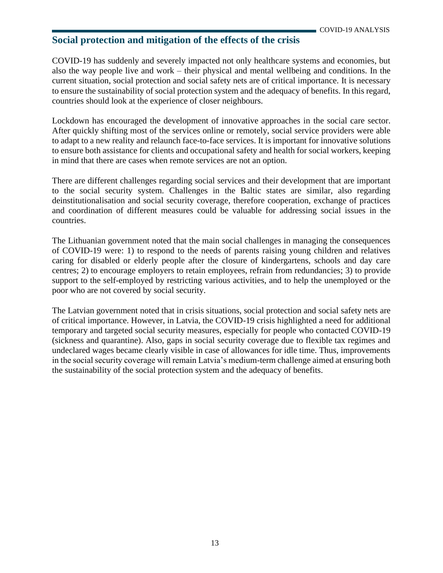## <span id="page-12-0"></span>**Social protection and mitigation of the effects of the crisis**

COVID-19 has suddenly and severely impacted not only healthcare systems and economies, but also the way people live and work – their physical and mental wellbeing and conditions. In the current situation, social protection and social safety nets are of critical importance. It is necessary to ensure the sustainability of social protection system and the adequacy of benefits. In this regard, countries should look at the experience of closer neighbours.

Lockdown has encouraged the development of innovative approaches in the social care sector. After quickly shifting most of the services online or remotely, social service providers were able to adapt to a new reality and relaunch face-to-face services. It is important for innovative solutions to ensure both assistance for clients and occupational safety and health for social workers, keeping in mind that there are cases when remote services are not an option.

There are different challenges regarding social services and their development that are important to the social security system. Challenges in the Baltic states are similar, also regarding deinstitutionalisation and social security coverage, therefore cooperation, exchange of practices and coordination of different measures could be valuable for addressing social issues in the countries.

The Lithuanian government noted that the main social challenges in managing the consequences of COVID-19 were: 1) to respond to the needs of parents raising young children and relatives caring for disabled or elderly people after the closure of kindergartens, schools and day care centres; 2) to encourage employers to retain employees, refrain from redundancies; 3) to provide support to the self-employed by restricting various activities, and to help the unemployed or the poor who are not covered by social security.

The Latvian government noted that in crisis situations, social protection and social safety nets are of critical importance. However, in Latvia, the COVID-19 crisis highlighted a need for additional temporary and targeted social security measures, especially for people who contacted COVID-19 (sickness and quarantine). Also, gaps in social security coverage due to flexible tax regimes and undeclared wages became clearly visible in case of allowances for idle time. Thus, improvements in the social security coverage will remain Latvia's medium-term challenge aimed at ensuring both the sustainability of the social protection system and the adequacy of benefits.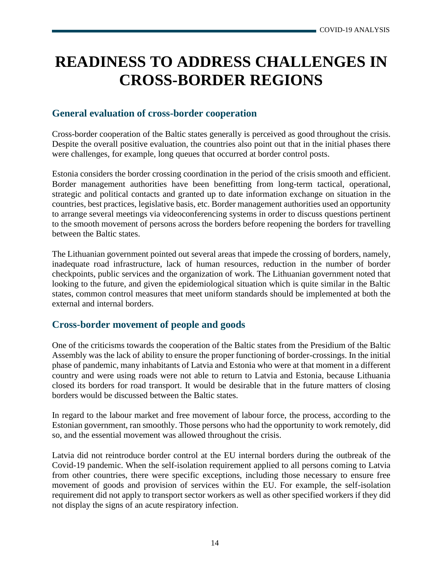## <span id="page-13-0"></span>**READINESS TO ADDRESS CHALLENGES IN CROSS-BORDER REGIONS**

## <span id="page-13-1"></span>**General evaluation of cross-border cooperation**

Cross-border cooperation of the Baltic states generally is perceived as good throughout the crisis. Despite the overall positive evaluation, the countries also point out that in the initial phases there were challenges, for example, long queues that occurred at border control posts.

Estonia considers the border crossing coordination in the period of the crisis smooth and efficient. Border management authorities have been benefitting from long-term tactical, operational, strategic and political contacts and granted up to date information exchange on situation in the countries, best practices, legislative basis, etc. Border management authorities used an opportunity to arrange several meetings via videoconferencing systems in order to discuss questions pertinent to the smooth movement of persons across the borders before reopening the borders for travelling between the Baltic states.

The Lithuanian government pointed out several areas that impede the crossing of borders, namely, inadequate road infrastructure, lack of human resources, reduction in the number of border checkpoints, public services and the organization of work. The Lithuanian government noted that looking to the future, and given the epidemiological situation which is quite similar in the Baltic states, common control measures that meet uniform standards should be implemented at both the external and internal borders.

### <span id="page-13-2"></span>**Cross-border movement of people and goods**

One of the criticisms towards the cooperation of the Baltic states from the Presidium of the Baltic Assembly was the lack of ability to ensure the proper functioning of border-crossings. In the initial phase of pandemic, many inhabitants of Latvia and Estonia who were at that moment in a different country and were using roads were not able to return to Latvia and Estonia, because Lithuania closed its borders for road transport. It would be desirable that in the future matters of closing borders would be discussed between the Baltic states.

In regard to the labour market and free movement of labour force, the process, according to the Estonian government, ran smoothly. Those persons who had the opportunity to work remotely, did so, and the essential movement was allowed throughout the crisis.

Latvia did not reintroduce border control at the EU internal borders during the outbreak of the Covid-19 pandemic. When the self-isolation requirement applied to all persons coming to Latvia from other countries, there were specific exceptions, including those necessary to ensure free movement of goods and provision of services within the EU. For example, the self-isolation requirement did not apply to transport sector workers as well as other specified workers if they did not display the signs of an acute respiratory infection.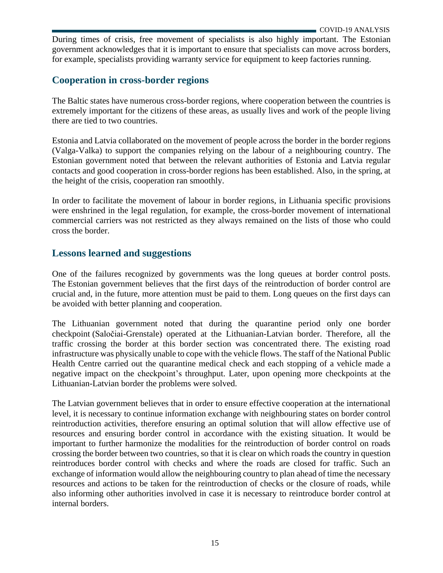During times of crisis, free movement of specialists is also highly important. The Estonian government acknowledges that it is important to ensure that specialists can move across borders, for example, specialists providing warranty service for equipment to keep factories running.

## <span id="page-14-0"></span>**Cooperation in cross-border regions**

The Baltic states have numerous cross-border regions, where cooperation between the countries is extremely important for the citizens of these areas, as usually lives and work of the people living there are tied to two countries.

Estonia and Latvia collaborated on the movement of people across the border in the border regions (Valga-Valka) to support the companies relying on the labour of a neighbouring country. The Estonian government noted that between the relevant authorities of Estonia and Latvia regular contacts and good cooperation in cross-border regions has been established. Also, in the spring, at the height of the crisis, cooperation ran smoothly.

In order to facilitate the movement of labour in border regions, in Lithuania specific provisions were enshrined in the legal regulation, for example, the cross-border movement of international commercial carriers was not restricted as they always remained on the lists of those who could cross the border.

## <span id="page-14-1"></span>**Lessons learned and suggestions**

One of the failures recognized by governments was the long queues at border control posts. The Estonian government believes that the first days of the reintroduction of border control are crucial and, in the future, more attention must be paid to them. Long queues on the first days can be avoided with better planning and cooperation.

The Lithuanian government noted that during the quarantine period only one border checkpoint (Saločiai-Grenstale) operated at the Lithuanian-Latvian border. Therefore, all the traffic crossing the border at this border section was concentrated there. The existing road infrastructure was physically unable to cope with the vehicle flows. The staff of the National Public Health Centre carried out the quarantine medical check and each stopping of a vehicle made a negative impact on the checkpoint's throughput. Later, upon opening more checkpoints at the Lithuanian-Latvian border the problems were solved.

The Latvian government believes that in order to ensure effective cooperation at the international level, it is necessary to continue information exchange with neighbouring states on border control reintroduction activities, therefore ensuring an optimal solution that will allow effective use of resources and ensuring border control in accordance with the existing situation. It would be important to further harmonize the modalities for the reintroduction of border control on roads crossing the border between two countries, so that it is clear on which roads the country in question reintroduces border control with checks and where the roads are closed for traffic. Such an exchange of information would allow the neighbouring country to plan ahead of time the necessary resources and actions to be taken for the reintroduction of checks or the closure of roads, while also informing other authorities involved in case it is necessary to reintroduce border control at internal borders.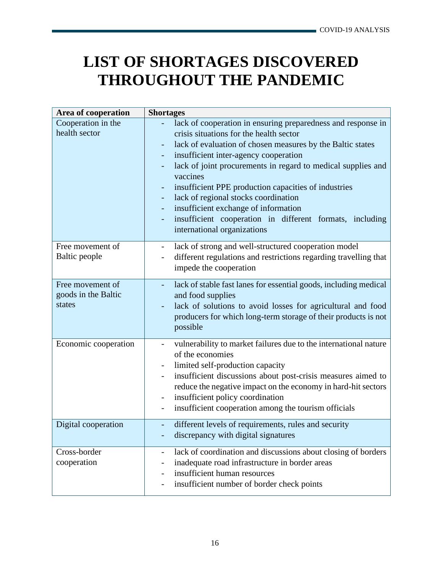## <span id="page-15-0"></span>**LIST OF SHORTAGES DISCOVERED THROUGHOUT THE PANDEMIC**

| Area of cooperation                               | <b>Shortages</b>                                                                                                                                                                                                                                                                                                                                                                                                                                                                                                                   |
|---------------------------------------------------|------------------------------------------------------------------------------------------------------------------------------------------------------------------------------------------------------------------------------------------------------------------------------------------------------------------------------------------------------------------------------------------------------------------------------------------------------------------------------------------------------------------------------------|
| Cooperation in the<br>health sector               | lack of cooperation in ensuring preparedness and response in<br>crisis situations for the health sector<br>lack of evaluation of chosen measures by the Baltic states<br>insufficient inter-agency cooperation<br>lack of joint procurements in regard to medical supplies and<br>vaccines<br>insufficient PPE production capacities of industries<br>÷<br>lack of regional stocks coordination<br>insufficient exchange of information<br>insufficient cooperation in different formats, including<br>international organizations |
| Free movement of<br>Baltic people                 | lack of strong and well-structured cooperation model<br>$\qquad \qquad \blacksquare$<br>different regulations and restrictions regarding travelling that<br>impede the cooperation                                                                                                                                                                                                                                                                                                                                                 |
| Free movement of<br>goods in the Baltic<br>states | lack of stable fast lanes for essential goods, including medical<br>and food supplies<br>lack of solutions to avoid losses for agricultural and food<br>producers for which long-term storage of their products is not<br>possible                                                                                                                                                                                                                                                                                                 |
| Economic cooperation                              | vulnerability to market failures due to the international nature<br>of the economies<br>limited self-production capacity<br>insufficient discussions about post-crisis measures aimed to<br>reduce the negative impact on the economy in hard-hit sectors<br>insufficient policy coordination<br>insufficient cooperation among the tourism officials<br>$\overline{\phantom{0}}$                                                                                                                                                  |
| Digital cooperation                               | different levels of requirements, rules and security<br>discrepancy with digital signatures                                                                                                                                                                                                                                                                                                                                                                                                                                        |
| Cross-border<br>cooperation                       | lack of coordination and discussions about closing of borders<br>-<br>inadequate road infrastructure in border areas<br>insufficient human resources<br>-<br>insufficient number of border check points                                                                                                                                                                                                                                                                                                                            |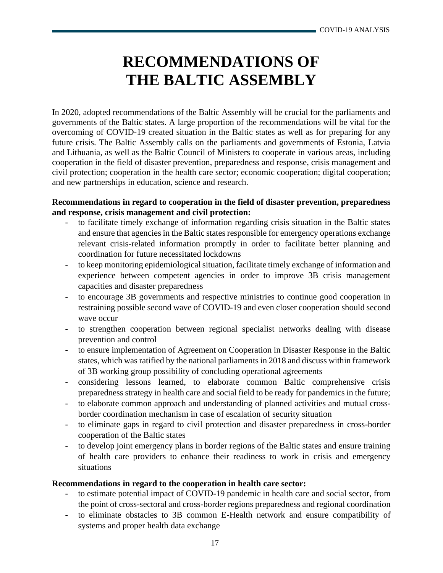## **RECOMMENDATIONS OF THE BALTIC ASSEMBLY**

<span id="page-16-0"></span>In 2020, adopted recommendations of the Baltic Assembly will be crucial for the parliaments and governments of the Baltic states. A large proportion of the recommendations will be vital for the overcoming of COVID-19 created situation in the Baltic states as well as for preparing for any future crisis. The Baltic Assembly calls on the parliaments and governments of Estonia, Latvia and Lithuania, as well as the Baltic Council of Ministers to cooperate in various areas, including cooperation in the field of disaster prevention, preparedness and response, crisis management and civil protection; cooperation in the health care sector; economic cooperation; digital cooperation; and new partnerships in education, science and research.

#### **Recommendations in regard to cooperation in the field of disaster prevention, preparedness and response, crisis management and civil protection:**

- to facilitate timely exchange of information regarding crisis situation in the Baltic states and ensure that agencies in the Baltic states responsible for emergency operations exchange relevant crisis-related information promptly in order to facilitate better planning and coordination for future necessitated lockdowns
- to keep monitoring epidemiological situation, facilitate timely exchange of information and experience between competent agencies in order to improve 3B crisis management capacities and disaster preparedness
- to encourage 3B governments and respective ministries to continue good cooperation in restraining possible second wave of COVID-19 and even closer cooperation should second wave occur
- to strengthen cooperation between regional specialist networks dealing with disease prevention and control
- to ensure implementation of Agreement on Cooperation in Disaster Response in the Baltic states, which was ratified by the national parliaments in 2018 and discuss within framework of 3B working group possibility of concluding operational agreements
- considering lessons learned, to elaborate common Baltic comprehensive crisis preparedness strategy in health care and social field to be ready for pandemics in the future;
- to elaborate common approach and understanding of planned activities and mutual crossborder coordination mechanism in case of escalation of security situation
- to eliminate gaps in regard to civil protection and disaster preparedness in cross-border cooperation of the Baltic states
- to develop joint emergency plans in border regions of the Baltic states and ensure training of health care providers to enhance their readiness to work in crisis and emergency situations

#### **Recommendations in regard to the cooperation in health care sector:**

- to estimate potential impact of COVID-19 pandemic in health care and social sector, from the point of cross-sectoral and cross-border regions preparedness and regional coordination
- to eliminate obstacles to 3B common E-Health network and ensure compatibility of systems and proper health data exchange